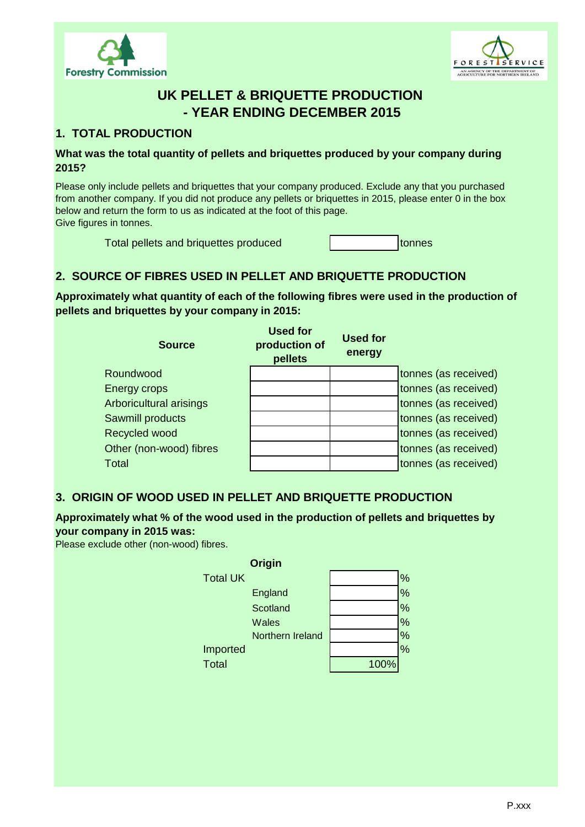



# **UK PELLET & BRIQUETTE PRODUCTION - YEAR ENDING DECEMBER 2015**

### **1. TOTAL PRODUCTION**

#### **What was the total quantity of pellets and briquettes produced by your company during 2015?**

Please only include pellets and briquettes that your company produced. Exclude any that you purchased from another company. If you did not produce any pellets or briquettes in 2015, please enter 0 in the box below and return the form to us as indicated at the foot of this page. Give figures in tonnes.

Total pellets and briquettes produced and tonnes

## **2. SOURCE OF FIBRES USED IN PELLET AND BRIQUETTE PRODUCTION**

**Approximately what quantity of each of the following fibres were used in the production of pellets and briquettes by your company in 2015:**

| <b>Source</b>           | <b>Used for</b><br>production of<br>pellets | Used for<br>energy |                      |
|-------------------------|---------------------------------------------|--------------------|----------------------|
| Roundwood               |                                             |                    | tonnes (as received) |
| Energy crops            |                                             |                    | tonnes (as received) |
| Arboricultural arisings |                                             |                    | tonnes (as received) |
| Sawmill products        |                                             |                    | tonnes (as received) |
| Recycled wood           |                                             |                    | tonnes (as received) |
| Other (non-wood) fibres |                                             |                    | tonnes (as received) |
| <b>Total</b>            |                                             |                    | tonnes (as received) |

### **3. ORIGIN OF WOOD USED IN PELLET AND BRIQUETTE PRODUCTION**

### **Approximately what % of the wood used in the production of pellets and briquettes by your company in 2015 was:**

Please exclude other (non-wood) fibres.

| Origin           |      |               |
|------------------|------|---------------|
| <b>Total UK</b>  |      | %             |
| England          |      | %             |
| Scotland         |      | $\frac{0}{0}$ |
| <b>Wales</b>     |      | $\frac{9}{6}$ |
| Northern Ireland |      | %             |
| Imported         |      | $\%$          |
| <b>Total</b>     | 100% |               |